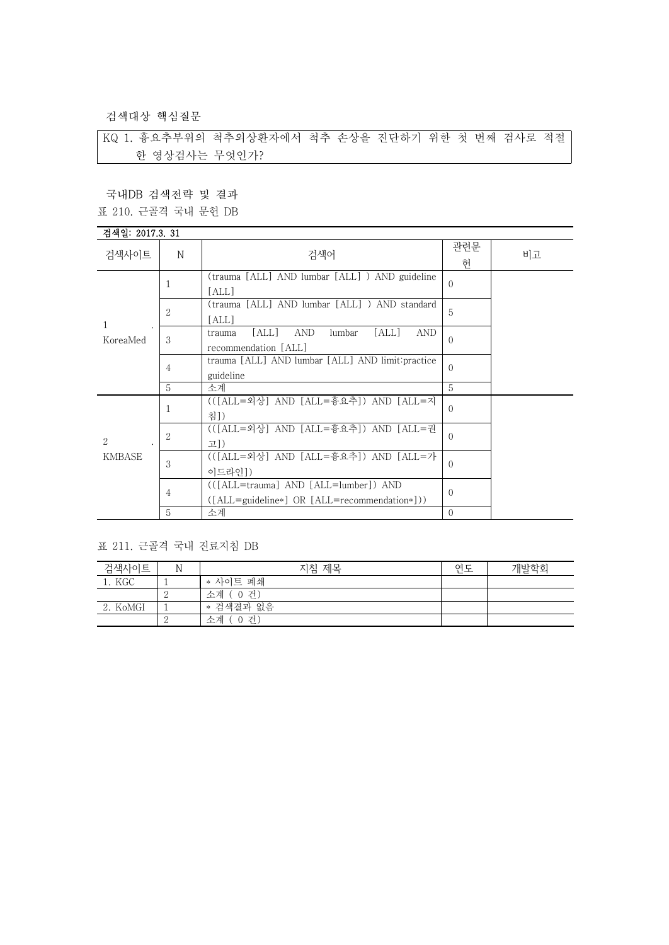검색대상 핵심질문

KQ 1. 흉요추부위의 척추외상환자에서 척추 손상을 진단하기 위한 첫 번째 검사로 적절 한 영상검사는 무엇인가?

국내DB 검색전략 및 결과

표 210. 근골격 국내 문헌 DB

## 검색일: 2017.3. 31

| 검색사이트              | N              | 검색어                                                            | 관련문<br>헌 | 비고 |
|--------------------|----------------|----------------------------------------------------------------|----------|----|
|                    | 1              | (trauma [ALL] AND lumbar [ALL] ) AND guideline                 | $\Omega$ |    |
|                    |                | [ALL]                                                          |          |    |
|                    | $\overline{2}$ | (trauma [ALL] AND lumbar [ALL] ) AND standard                  | 5        |    |
| 1                  |                | [ALL]                                                          |          |    |
|                    | 3              | [ALL]<br><b>AND</b><br>[ALL]<br><b>AND</b><br>lumbar<br>trauma |          |    |
| KoreaMed           |                | recommendation [ALL]                                           | $\Omega$ |    |
|                    | 4              | trauma [ALL] AND lumbar [ALL] AND limit: practice              | $\Omega$ |    |
|                    |                | guideline                                                      |          |    |
|                    | 5              | 소계                                                             | 5        |    |
|                    | 1              | (([ALL=외상] AND [ALL=흉요추]) AND [ALL=지                           | $\Omega$ |    |
|                    |                | 침])                                                            |          |    |
|                    | 2              | (([ALL=외상] AND [ALL=흉요추]) AND [ALL=권                           | $\Omega$ |    |
| 2<br><b>KMBASE</b> |                | 고])                                                            |          |    |
|                    | 3              | (([ALL=외상] AND [ALL=흉요추]) AND [ALL=가                           |          |    |
|                    |                | 이드라인])                                                         | $\Omega$ |    |
|                    | 4              | (([ALL=trauma] AND [ALL=lumber]) AND                           |          |    |
|                    |                | $([ALL = guideline*] OR [ALL = recommendation*]))$             | $\Omega$ |    |
|                    | 5              | 소계                                                             | $\Omega$ |    |

## 표 211. 근골격 국내 진료지침 DB

| 검색사이트    | N | 지침 제목          | 연도 | 개발학회 |
|----------|---|----------------|----|------|
| 1. KGC   |   | * 사이트 폐쇄       |    |      |
|          |   | 소계 (0 건)       |    |      |
| 2. KoMGI |   | * 검색결과 없음      |    |      |
|          |   | , 0 건)<br>소계 ( |    |      |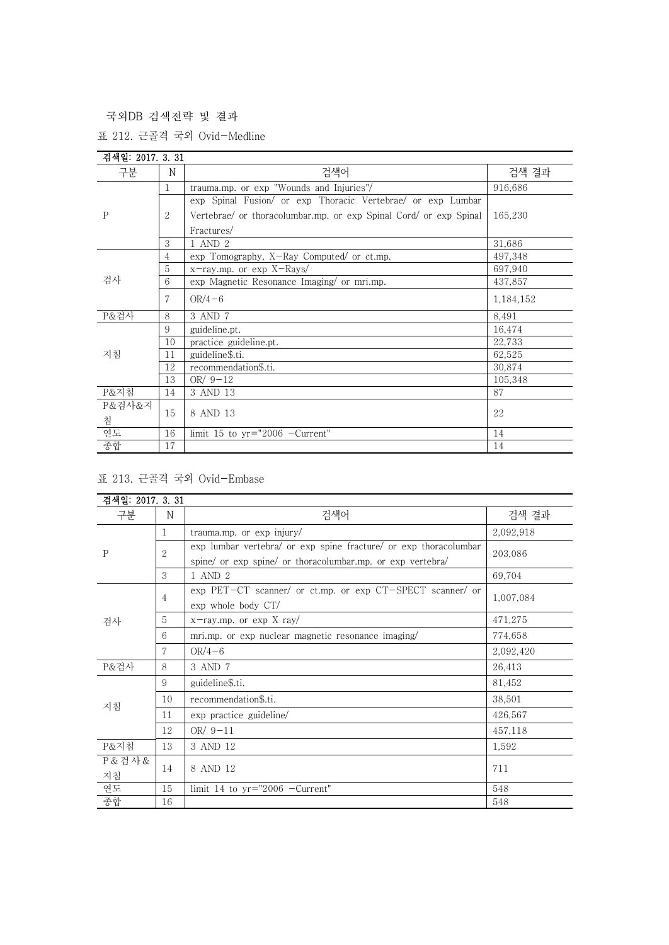국외DB 검색전략 및 결과

표 212. 근골격 국외 Ovid-Medline

| 검색일: 2017. 3. 31 |                |                                                                   |           |
|------------------|----------------|-------------------------------------------------------------------|-----------|
| 구분               | N              | 검색어                                                               | 검색 결과     |
| $\mathbf{P}$     | $\mathbf{1}$   | trauma.mp. or exp "Wounds and Injuries"/                          | 916,686   |
|                  |                | exp Spinal Fusion/ or exp Thoracic Vertebrae/ or exp Lumbar       |           |
|                  | 2              | Vertebrae/ or thoracolumbar.mp. or exp Spinal Cord/ or exp Spinal | 165,230   |
|                  |                | Fractures/                                                        |           |
|                  | 3              | 1 AND 2                                                           | 31,686    |
|                  | $\overline{4}$ | exp Tomography, X-Ray Computed/ or ct.mp.                         | 497,348   |
|                  | 5              | x-ray.mp. or exp X-Rays/                                          | 697,940   |
| 검사               | 6              | exp Magnetic Resonance Imaging/ or mri.mp.                        | 437,857   |
|                  | 7              | $OR/4-6$                                                          | 1,184,152 |
| P&검사             | 8              | 3 AND 7                                                           | 8,491     |
|                  | 9              | guideline.pt.                                                     | 16,474    |
|                  | 10             | practice guideline.pt.                                            | 22,733    |
| 지침               | 11             | guideline\$.ti.                                                   | 62,525    |
|                  | 12             | recommendation\$.ti.                                              | 30,874    |
|                  | 13             | OR/ $9-12$                                                        | 105,348   |
| P&지침             | 14             | 3 AND 13                                                          | 87        |
| P&검사&지           |                |                                                                   |           |
| 침                | 15             | 8 AND 13                                                          | 22        |
| 연도               | 16             | limit 15 to $yr="2006$ -Current"                                  | 14        |
| 종합               | 17             |                                                                   | 14        |

## 표 213. 근골격 국외 Ovid-Embase

| 검색일: 2017. 3. 31 |                |                                                                                                                                |           |
|------------------|----------------|--------------------------------------------------------------------------------------------------------------------------------|-----------|
| 구분               | N              | 검색어                                                                                                                            | 검색 결과     |
| $\mathbf P$      | 1              | trauma.mp. or exp injury/                                                                                                      | 2,092,918 |
|                  | $\overline{2}$ | exp lumbar vertebra/ or exp spine fracture/ or exp thoracolumbar<br>spine/ or exp spine/ or thoracolumbar.mp. or exp vertebra/ | 203,086   |
|                  | 3              | 1 AND 2                                                                                                                        | 69,704    |
| 검사               | $\overline{4}$ | exp PET-CT scanner/ or ct.mp. or exp CT-SPECT scanner/ or<br>exp whole body CT/                                                | 1,007,084 |
|                  | 5              | $x$ -ray.mp. or exp X ray/                                                                                                     | 471,275   |
|                  | 6              | mri.mp. or exp nuclear magnetic resonance imaging                                                                              | 774,658   |
|                  | 7              | $OR/4-6$                                                                                                                       | 2,092,420 |
| P&검사             | 8              | 3 AND 7                                                                                                                        | 26,413    |
| 지침               | 9              | guideline\$.ti.                                                                                                                | 81,452    |
|                  | 10             | recommendation\$.ti.                                                                                                           | 38,501    |
|                  | 11             | exp practice guideline/                                                                                                        | 426,567   |
|                  | 12             | OR $/9-11$                                                                                                                     | 457,118   |
| P&지침             | 13             | 3 AND 12                                                                                                                       | 1,592     |
| P & 검사 &<br>지침   | 14             | 8 AND 12                                                                                                                       | 711       |
| 연도               | 15             | limit 14 to $yr="2006$ -Current"                                                                                               | 548       |
| 종합               | 16             |                                                                                                                                | 548       |